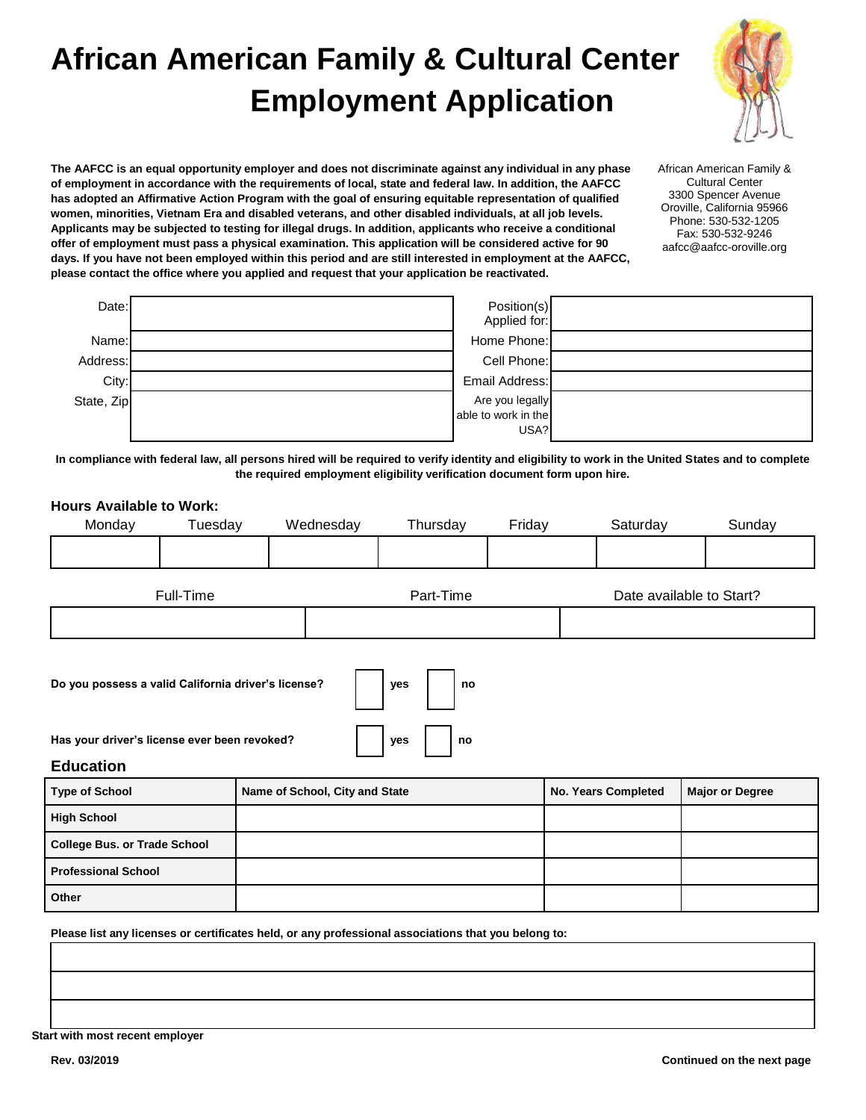# **African American Family & Cultural Center Employment Application**



**The AAFCC is an equal opportunity employer and does not discriminate against any individual in any phase of employment in accordance with the requirements of local, state and federal law. In addition, the AAFCC has adopted an Affirmative Action Program with the goal of ensuring equitable representation of qualified women, minorities, Vietnam Era and disabled veterans, and other disabled individuals, at all job levels. Applicants may be subjected to testing for illegal drugs. In addition, applicants who receive a conditional offer of employment must pass a physical examination. This application will be considered active for 90 days. If you have not been employed within this period and are still interested in employment at the AAFCC, please contact the office where you applied and request that your application be reactivated.** 

African American Family & Cultural Center 3300 Spencer Avenue Oroville, California 95966 Phone: 530-532-1205 Fax: 530-532-9246 aafcc@aafcc-oroville.org

| Date:      | Position(s)<br>Applied for:            |  |
|------------|----------------------------------------|--|
| Name:      | Home Phone:                            |  |
| Address:   | Cell Phone:                            |  |
| City:      | Email Address:                         |  |
| State, Zip | Are you legally<br>able to work in the |  |
|            | USA?                                   |  |

**In compliance with federal law, all persons hired will be required to verify identity and eligibility to work in the United States and to complete the required employment eligibility verification document form upon hire.** 

## **Hours Available to Work:**  Monday Tuesday Wednesday Thursday Friday Saturday Sunday Full-Time **Part-Time** Part-Time **Date available to Start? Do you possess a valid California driver's license? yes no** Has your driver's license ever been revoked? **and include the set of property**  $\vert$  **yes**  $\vert$  **no Education Type of School <b>Name of School, City and State No. Years Completed Major or Degree High School College Bus. or Trade School Professional School**

**Please list any licenses or certificates held, or any professional associations that you belong to:** 

**Start with most recent employer** 

**Other**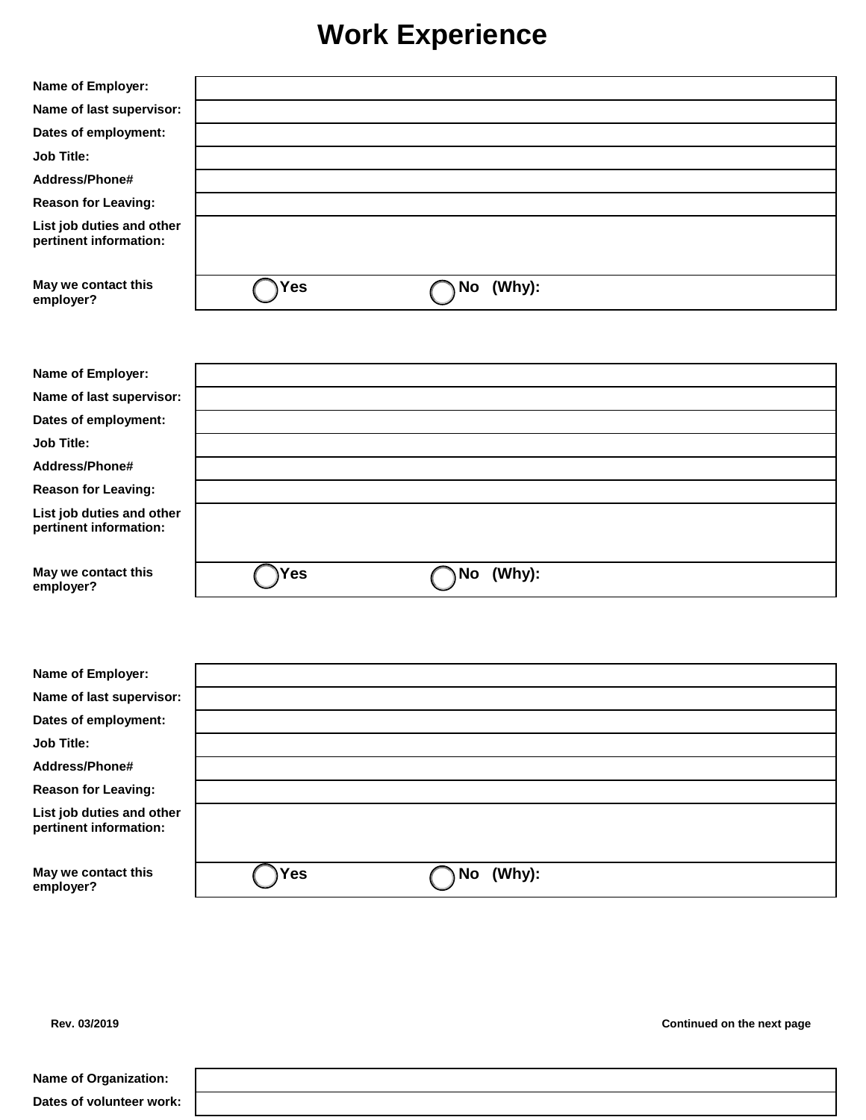### **Work Experience**

| Name of Employer:                                   |            |              |  |
|-----------------------------------------------------|------------|--------------|--|
| Name of last supervisor:                            |            |              |  |
| Dates of employment:                                |            |              |  |
| <b>Job Title:</b>                                   |            |              |  |
| Address/Phone#                                      |            |              |  |
| <b>Reason for Leaving:</b>                          |            |              |  |
| List job duties and other<br>pertinent information: |            |              |  |
| May we contact this<br>employer?                    | <b>Yes</b> | (Why):<br>No |  |
|                                                     |            |              |  |
| Name of Employer:                                   |            |              |  |
| Name of last supervisor:                            |            |              |  |
| Dates of employment:                                |            |              |  |
| <b>Job Title:</b>                                   |            |              |  |
| Address/Phone#                                      |            |              |  |
| <b>Reason for Leaving:</b>                          |            |              |  |
| List job duties and other<br>pertinent information: |            |              |  |
| May we contact this<br>employer?                    | Yes        | No (Why):    |  |
|                                                     |            |              |  |
| Name of Employer:                                   |            |              |  |
| Name of last supervisor:                            |            |              |  |
| Dates of employment:                                |            |              |  |
| <b>Job Title:</b>                                   |            |              |  |
| Address/Phone#                                      |            |              |  |
| <b>Reason for Leaving:</b>                          |            |              |  |
| List job duties and other<br>pertinent information: |            |              |  |
| May we contact this<br>employer?                    | Yes        | No (Why):    |  |
|                                                     |            |              |  |

**Rev. 03/2019 Continued on the next page** 

| <b>Name of Organization:</b> |  |  |
|------------------------------|--|--|
| Dates of volunteer work:     |  |  |